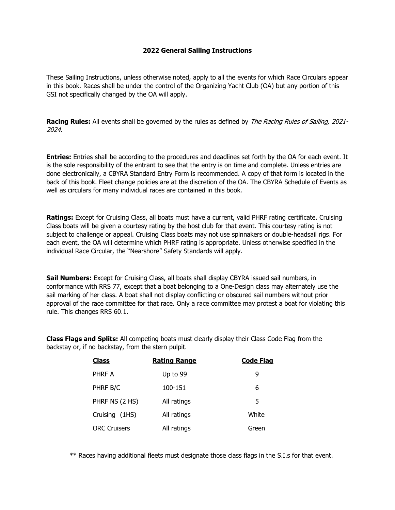## **2022 General Sailing Instructions**

These Sailing Instructions, unless otherwise noted, apply to all the events for which Race Circulars appear in this book. Races shall be under the control of the Organizing Yacht Club (OA) but any portion of this GSI not specifically changed by the OA will apply.

**Racing Rules:** All events shall be governed by the rules as defined by *The Racing Rules of Sailing, 2021-*2024.

**Entries:** Entries shall be according to the procedures and deadlines set forth by the OA for each event. It is the sole responsibility of the entrant to see that the entry is on time and complete. Unless entries are done electronically, a CBYRA Standard Entry Form is recommended. A copy of that form is located in the back of this book. Fleet change policies are at the discretion of the OA. The CBYRA Schedule of Events as well as circulars for many individual races are contained in this book.

**Ratings:** Except for Cruising Class, all boats must have a current, valid PHRF rating certificate. Cruising Class boats will be given a courtesy rating by the host club for that event. This courtesy rating is not subject to challenge or appeal. Cruising Class boats may not use spinnakers or double-headsail rigs. For each event, the OA will determine which PHRF rating is appropriate. Unless otherwise specified in the individual Race Circular, the "Nearshore" Safety Standards will apply.

**Sail Numbers:** Except for Cruising Class, all boats shall display CBYRA issued sail numbers, in conformance with RRS 77, except that a boat belonging to a One-Design class may alternately use the sail marking of her class. A boat shall not display conflicting or obscured sail numbers without prior approval of the race committee for that race. Only a race committee may protest a boat for violating this rule. This changes RRS 60.1.

**Class Flags and Splits:** All competing boats must clearly display their Class Code Flag from the backstay or, if no backstay, from the stern pulpit.

| <b>Class</b>        | <b>Rating Range</b> | <b>Code Flag</b> |
|---------------------|---------------------|------------------|
| PHRF A              | Up to 99            | 9                |
| PHRF B/C            | 100-151             | 6                |
| PHRF NS (2 HS)      | All ratings         | 5                |
| Cruising (1HS)      | All ratings         | White            |
| <b>ORC Cruisers</b> | All ratings         | Green            |

\*\* Races having additional fleets must designate those class flags in the S.I.s for that event.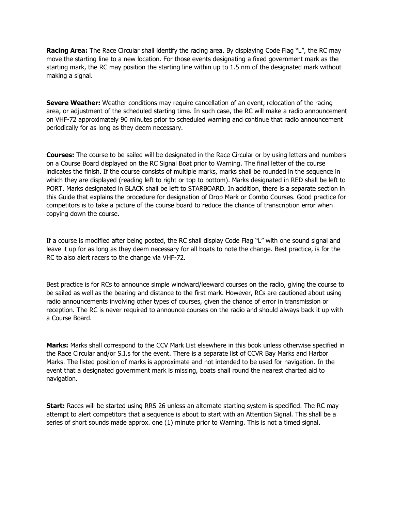**Racing Area:** The Race Circular shall identify the racing area. By displaying Code Flag "L", the RC may move the starting line to a new location. For those events designating a fixed government mark as the starting mark, the RC may position the starting line within up to 1.5 nm of the designated mark without making a signal.

**Severe Weather:** Weather conditions may require cancellation of an event, relocation of the racing area, or adjustment of the scheduled starting time. In such case, the RC will make a radio announcement on VHF-72 approximately 90 minutes prior to scheduled warning and continue that radio announcement periodically for as long as they deem necessary.

**Courses:** The course to be sailed will be designated in the Race Circular or by using letters and numbers on a Course Board displayed on the RC Signal Boat prior to Warning. The final letter of the course indicates the finish. If the course consists of multiple marks, marks shall be rounded in the sequence in which they are displayed (reading left to right or top to bottom). Marks designated in RED shall be left to PORT. Marks designated in BLACK shall be left to STARBOARD. In addition, there is a separate section in this Guide that explains the procedure for designation of Drop Mark or Combo Courses. Good practice for competitors is to take a picture of the course board to reduce the chance of transcription error when copying down the course.

If a course is modified after being posted, the RC shall display Code Flag "L" with one sound signal and leave it up for as long as they deem necessary for all boats to note the change. Best practice, is for the RC to also alert racers to the change via VHF-72.

Best practice is for RCs to announce simple windward/leeward courses on the radio, giving the course to be sailed as well as the bearing and distance to the first mark. However, RCs are cautioned about using radio announcements involving other types of courses, given the chance of error in transmission or reception. The RC is never required to announce courses on the radio and should always back it up with a Course Board.

**Marks:** Marks shall correspond to the CCV Mark List elsewhere in this book unless otherwise specified in the Race Circular and/or S.I.s for the event. There is a separate list of CCVR Bay Marks and Harbor Marks. The listed position of marks is approximate and not intended to be used for navigation. In the event that a designated government mark is missing, boats shall round the nearest charted aid to navigation.

**Start:** Races will be started using RRS 26 unless an alternate starting system is specified. The RC may attempt to alert competitors that a sequence is about to start with an Attention Signal. This shall be a series of short sounds made approx. one (1) minute prior to Warning. This is not a timed signal.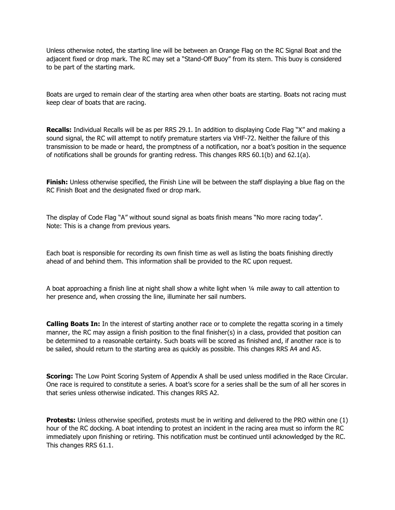Unless otherwise noted, the starting line will be between an Orange Flag on the RC Signal Boat and the adjacent fixed or drop mark. The RC may set a "Stand-Off Buoy" from its stern. This buoy is considered to be part of the starting mark.

Boats are urged to remain clear of the starting area when other boats are starting. Boats not racing must keep clear of boats that are racing.

**Recalls:** Individual Recalls will be as per RRS 29.1. In addition to displaying Code Flag "X" and making a sound signal, the RC will attempt to notify premature starters via VHF-72. Neither the failure of this transmission to be made or heard, the promptness of a notification, nor a boat's position in the sequence of notifications shall be grounds for granting redress. This changes RRS 60.1(b) and 62.1(a).

**Finish:** Unless otherwise specified, the Finish Line will be between the staff displaying a blue flag on the RC Finish Boat and the designated fixed or drop mark.

The display of Code Flag "A" without sound signal as boats finish means "No more racing today". Note: This is a change from previous years.

Each boat is responsible for recording its own finish time as well as listing the boats finishing directly ahead of and behind them. This information shall be provided to the RC upon request.

A boat approaching a finish line at night shall show a white light when ¼ mile away to call attention to her presence and, when crossing the line, illuminate her sail numbers.

**Calling Boats In:** In the interest of starting another race or to complete the regatta scoring in a timely manner, the RC may assign a finish position to the final finisher(s) in a class, provided that position can be determined to a reasonable certainty. Such boats will be scored as finished and, if another race is to be sailed, should return to the starting area as quickly as possible. This changes RRS A4 and A5.

**Scoring:** The Low Point Scoring System of Appendix A shall be used unless modified in the Race Circular. One race is required to constitute a series. A boat's score for a series shall be the sum of all her scores in that series unless otherwise indicated. This changes RRS A2.

**Protests:** Unless otherwise specified, protests must be in writing and delivered to the PRO within one (1) hour of the RC docking. A boat intending to protest an incident in the racing area must so inform the RC immediately upon finishing or retiring. This notification must be continued until acknowledged by the RC. This changes RRS 61.1.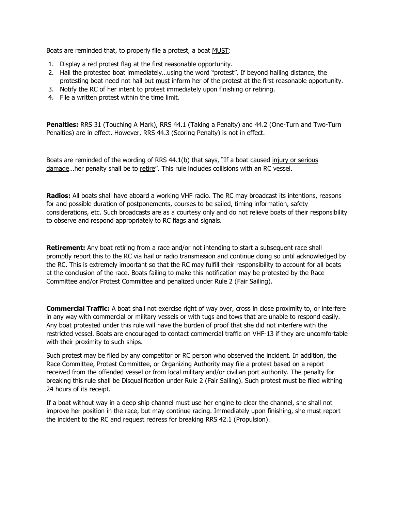Boats are reminded that, to properly file a protest, a boat MUST:

- 1. Display a red protest flag at the first reasonable opportunity.
- 2. Hail the protested boat immediately…using the word "protest". If beyond hailing distance, the protesting boat need not hail but must inform her of the protest at the first reasonable opportunity.
- 3. Notify the RC of her intent to protest immediately upon finishing or retiring.
- 4. File a written protest within the time limit.

**Penalties:** RRS 31 (Touching A Mark), RRS 44.1 (Taking a Penalty) and 44.2 (One-Turn and Two-Turn Penalties) are in effect. However, RRS 44.3 (Scoring Penalty) is not in effect.

Boats are reminded of the wording of RRS 44.1(b) that says, "If a boat caused injury or serious damage...her penalty shall be to retire". This rule includes collisions with an RC vessel.

**Radios:** All boats shall have aboard a working VHF radio. The RC may broadcast its intentions, reasons for and possible duration of postponements, courses to be sailed, timing information, safety considerations, etc. Such broadcasts are as a courtesy only and do not relieve boats of their responsibility to observe and respond appropriately to RC flags and signals.

**Retirement:** Any boat retiring from a race and/or not intending to start a subsequent race shall promptly report this to the RC via hail or radio transmission and continue doing so until acknowledged by the RC. This is extremely important so that the RC may fulfill their responsibility to account for all boats at the conclusion of the race. Boats failing to make this notification may be protested by the Race Committee and/or Protest Committee and penalized under Rule 2 (Fair Sailing).

**Commercial Traffic:** A boat shall not exercise right of way over, cross in close proximity to, or interfere in any way with commercial or military vessels or with tugs and tows that are unable to respond easily. Any boat protested under this rule will have the burden of proof that she did not interfere with the restricted vessel. Boats are encouraged to contact commercial traffic on VHF-13 if they are uncomfortable with their proximity to such ships.

Such protest may be filed by any competitor or RC person who observed the incident. In addition, the Race Committee, Protest Committee, or Organizing Authority may file a protest based on a report received from the offended vessel or from local military and/or civilian port authority. The penalty for breaking this rule shall be Disqualification under Rule 2 (Fair Sailing). Such protest must be filed withing 24 hours of its receipt.

If a boat without way in a deep ship channel must use her engine to clear the channel, she shall not improve her position in the race, but may continue racing. Immediately upon finishing, she must report the incident to the RC and request redress for breaking RRS 42.1 (Propulsion).